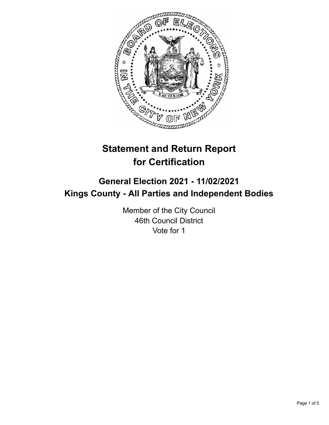

# **Statement and Return Report for Certification**

## **General Election 2021 - 11/02/2021 Kings County - All Parties and Independent Bodies**

Member of the City Council 46th Council District Vote for 1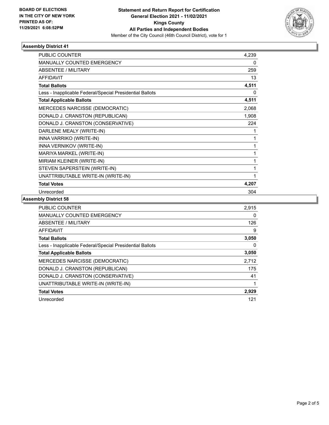

### **Assembly District 41**

| PUBLIC COUNTER                                           | 4,239 |
|----------------------------------------------------------|-------|
| <b>MANUALLY COUNTED EMERGENCY</b>                        | 0     |
| <b>ABSENTEE / MILITARY</b>                               | 259   |
| <b>AFFIDAVIT</b>                                         | 13    |
| <b>Total Ballots</b>                                     | 4,511 |
| Less - Inapplicable Federal/Special Presidential Ballots | 0     |
| <b>Total Applicable Ballots</b>                          | 4,511 |
| MERCEDES NARCISSE (DEMOCRATIC)                           | 2,068 |
| DONALD J. CRANSTON (REPUBLICAN)                          | 1,908 |
| DONALD J. CRANSTON (CONSERVATIVE)                        | 224   |
| DARLENE MEALY (WRITE-IN)                                 | 1     |
| INNA VARRIKO (WRITE-IN)                                  | 1     |
| INNA VERNIKOV (WRITE-IN)                                 | 1     |
| MARIYA MARKEL (WRITE-IN)                                 | 1     |
| MIRIAM KLEINER (WRITE-IN)                                | 1     |
| STEVEN SAPERSTEIN (WRITE-IN)                             |       |
| UNATTRIBUTABLE WRITE-IN (WRITE-IN)                       |       |
| <b>Total Votes</b>                                       | 4,207 |
| Unrecorded                                               | 304   |

### **Assembly District 58**

| <b>PUBLIC COUNTER</b>                                    | 2,915 |
|----------------------------------------------------------|-------|
| <b>MANUALLY COUNTED EMERGENCY</b>                        | 0     |
| ABSENTEE / MILITARY                                      | 126   |
| AFFIDAVIT                                                | 9     |
| <b>Total Ballots</b>                                     | 3,050 |
| Less - Inapplicable Federal/Special Presidential Ballots | 0     |
| <b>Total Applicable Ballots</b>                          | 3,050 |
| <b>MERCEDES NARCISSE (DEMOCRATIC)</b>                    | 2,712 |
| DONALD J. CRANSTON (REPUBLICAN)                          | 175   |
| DONALD J. CRANSTON (CONSERVATIVE)                        | 41    |
| UNATTRIBUTABLE WRITE-IN (WRITE-IN)                       |       |
| <b>Total Votes</b>                                       | 2,929 |
| Unrecorded                                               | 121   |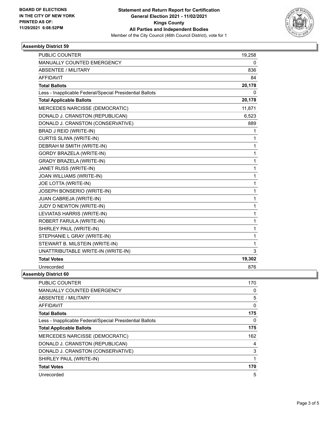

### **Assembly District 59**

| <b>PUBLIC COUNTER</b>                                    | 19,258 |
|----------------------------------------------------------|--------|
| MANUALLY COUNTED EMERGENCY                               | 0      |
| <b>ABSENTEE / MILITARY</b>                               | 836    |
| <b>AFFIDAVIT</b>                                         | 84     |
| <b>Total Ballots</b>                                     | 20,178 |
| Less - Inapplicable Federal/Special Presidential Ballots | 0      |
| <b>Total Applicable Ballots</b>                          | 20,178 |
| MERCEDES NARCISSE (DEMOCRATIC)                           | 11,871 |
| DONALD J. CRANSTON (REPUBLICAN)                          | 6,523  |
| DONALD J. CRANSTON (CONSERVATIVE)                        | 889    |
| BRAD J REID (WRITE-IN)                                   | 1      |
| CURTIS SLIWA (WRITE-IN)                                  | 1      |
| DEBRAH M SMITH (WRITE-IN)                                | 1      |
| GORDY BRAZELA (WRITE-IN)                                 | 1      |
| <b>GRADY BRAZELA (WRITE-IN)</b>                          | 1      |
| JANET RUSS (WRITE-IN)                                    | 1      |
| JOAN WILLIAMS (WRITE-IN)                                 | 1      |
| JOE LOTTA (WRITE-IN)                                     | 1      |
| JOSEPH BONSERIO (WRITE-IN)                               | 1      |
| JUAN CABREJA (WRITE-IN)                                  | 1      |
| JUDY D NEWTON (WRITE-IN)                                 | 1      |
| LEVIATAS HARRIS (WRITE-IN)                               | 1      |
| ROBERT FARULA (WRITE-IN)                                 | 1      |
| SHIRLEY PAUL (WRITE-IN)                                  | 1      |
| STEPHANIE L GRAY (WRITE-IN)                              | 1      |
| STEWART B. MILSTEIN (WRITE-IN)                           | 1      |
| UNATTRIBUTABLE WRITE-IN (WRITE-IN)                       | 3      |
| <b>Total Votes</b>                                       | 19,302 |
| Unrecorded                                               | 876    |
| nbly District 60                                         |        |

**Assembly District 60**

| PUBLIC COUNTER                                           | 170      |
|----------------------------------------------------------|----------|
| <b>MANUALLY COUNTED EMERGENCY</b>                        | 0        |
| ABSENTEE / MILITARY                                      | 5        |
| <b>AFFIDAVIT</b>                                         | $\Omega$ |
| <b>Total Ballots</b>                                     | 175      |
| Less - Inapplicable Federal/Special Presidential Ballots | 0        |
| <b>Total Applicable Ballots</b>                          | 175      |
| <b>MERCEDES NARCISSE (DEMOCRATIC)</b>                    | 162      |
| DONALD J. CRANSTON (REPUBLICAN)                          | 4        |
| DONALD J. CRANSTON (CONSERVATIVE)                        | 3        |
| SHIRLEY PAUL (WRITE-IN)                                  |          |
| <b>Total Votes</b>                                       | 170      |
| Unrecorded                                               | 5        |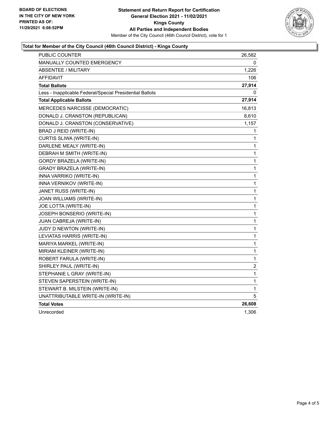

### **Total for Member of the City Council (46th Council District) - Kings County**

| PUBLIC COUNTER                                           | 26,582           |
|----------------------------------------------------------|------------------|
| <b>MANUALLY COUNTED EMERGENCY</b>                        | 0                |
| ABSENTEE / MILITARY                                      | 1,226            |
| <b>AFFIDAVIT</b>                                         | 106              |
| <b>Total Ballots</b>                                     | 27,914           |
| Less - Inapplicable Federal/Special Presidential Ballots | 0                |
| <b>Total Applicable Ballots</b>                          | 27,914           |
| MERCEDES NARCISSE (DEMOCRATIC)                           | 16,813           |
| DONALD J. CRANSTON (REPUBLICAN)                          | 8,610            |
| DONALD J. CRANSTON (CONSERVATIVE)                        | 1,157            |
| BRAD J REID (WRITE-IN)                                   | 1                |
| CURTIS SLIWA (WRITE-IN)                                  | 1                |
| DARLENE MEALY (WRITE-IN)                                 | 1                |
| DEBRAH M SMITH (WRITE-IN)                                | 1                |
| GORDY BRAZELA (WRITE-IN)                                 | $\mathbf{1}$     |
| GRADY BRAZELA (WRITE-IN)                                 | 1                |
| INNA VARRIKO (WRITE-IN)                                  | 1                |
| INNA VERNIKOV (WRITE-IN)                                 | 1                |
| JANET RUSS (WRITE-IN)                                    | 1                |
| JOAN WILLIAMS (WRITE-IN)                                 | 1                |
| JOE LOTTA (WRITE-IN)                                     | 1                |
| JOSEPH BONSERIO (WRITE-IN)                               | $\mathbf{1}$     |
| JUAN CABREJA (WRITE-IN)                                  | 1                |
| JUDY D NEWTON (WRITE-IN)                                 | 1                |
| LEVIATAS HARRIS (WRITE-IN)                               | 1                |
| MARIYA MARKEL (WRITE-IN)                                 | 1                |
| MIRIAM KLEINER (WRITE-IN)                                | 1                |
| ROBERT FARULA (WRITE-IN)                                 | 1                |
| SHIRLEY PAUL (WRITE-IN)                                  | $\boldsymbol{2}$ |
| STEPHANIE L GRAY (WRITE-IN)                              | 1                |
| STEVEN SAPERSTEIN (WRITE-IN)                             | 1                |
| STEWART B. MILSTEIN (WRITE-IN)                           | 1                |
| UNATTRIBUTABLE WRITE-IN (WRITE-IN)                       | 5                |
| <b>Total Votes</b>                                       | 26,608           |
| Unrecorded                                               | 1,306            |